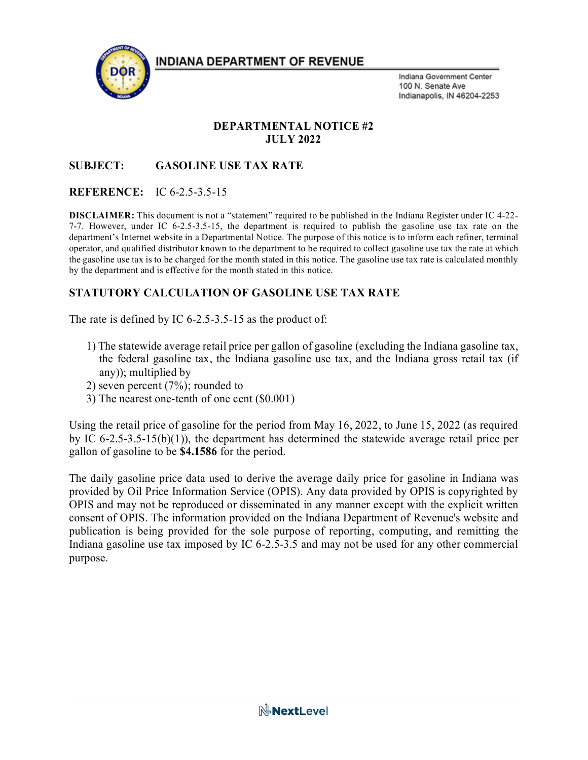**INDIANA DEPARTMENT OF REVENUE** 



Indiana Government Center 100 N. Senate Ave Indianapolis, IN 46204-2253

#### **DEPARTMENTAL NOTICE #2 JULY 2022**

# **SUBJECT: GASOLINE USE TAX RATE**

### **REFERENCE:** IC 6-2.5-3.5-15

**DISCLAIMER:** This document is not a "statement" required to be published in the Indiana Register under IC 4-22- 7-7. However, under IC 6-2.5-3.5-15, the department is required to publish the gasoline use tax rate on the department's Internet website in a Departmental Notice. The purpose of this notice is to inform each refiner, terminal operator, and qualified distributor known to the department to be required to collect gasoline use tax the rate at which the gasoline use tax is to be charged for the month stated in this notice. The gasoline use tax rate is calculated monthly by the department and is effective for the month stated in this notice.

# **STATUTORY CALCULATION OF GASOLINE USE TAX RATE**

The rate is defined by IC 6-2.5-3.5-15 as the product of:

- 1) The statewide average retail price per gallon of gasoline (excluding the Indiana gasoline tax, the federal gasoline tax, the Indiana gasoline use tax, and the Indiana gross retail tax (if any)); multiplied by
- 2) seven percent (7%); rounded to
- 3) The nearest one-tenth of one cent (\$0.001)

Using the retail price of gasoline for the period from May 16, 2022, to June 15, 2022 (as required by IC 6-2.5-3.5-15(b)(1)), the department has determined the statewide average retail price per gallon of gasoline to be **\$4.1586** for the period.

The daily gasoline price data used to derive the average daily price for gasoline in Indiana was provided by Oil Price Information Service (OPIS). Any data provided by OPIS is copyrighted by OPIS and may not be reproduced or disseminated in any manner except with the explicit written consent of OPIS. The information provided on the Indiana Department of Revenue's website and publication is being provided for the sole purpose of reporting, computing, and remitting the Indiana gasoline use tax imposed by IC 6-2.5-3.5 and may not be used for any other commercial purpose.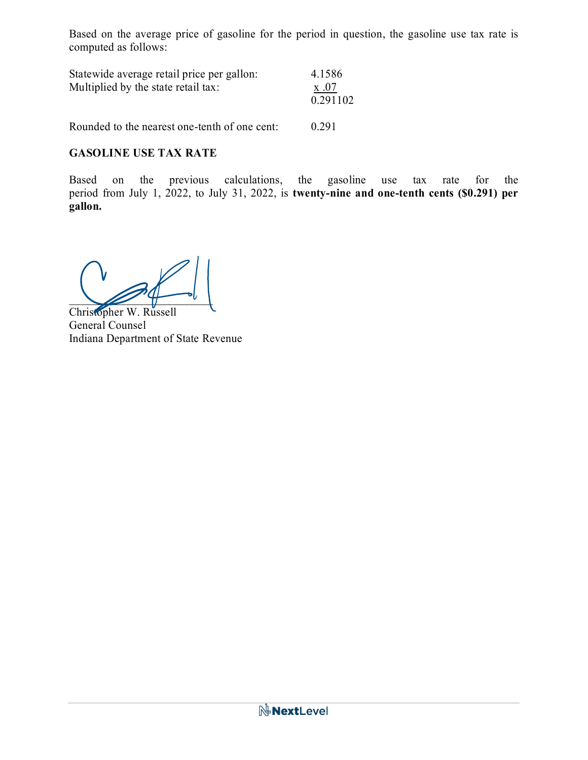Based on the average price of gasoline for the period in question, the gasoline use tax rate is computed as follows:

| Statewide average retail price per gallon:<br>Multiplied by the state retail tax: | 4.1586<br>x .07<br>0.291102 |
|-----------------------------------------------------------------------------------|-----------------------------|
| Rounded to the nearest one-tenth of one cent:                                     | 0.291                       |

# **GASOLINE USE TAX RATE**

Based on the previous calculations, the gasoline use tax rate for the period from July 1, 2022, to July 31, 2022, is **twenty-nine and one-tenth cents (\$0.291) per gallon.**

 $\sim$   $\sim$   $\sim$   $\sim$   $\sim$ 

Christopher W. Russell General Counsel Indiana Department of State Revenue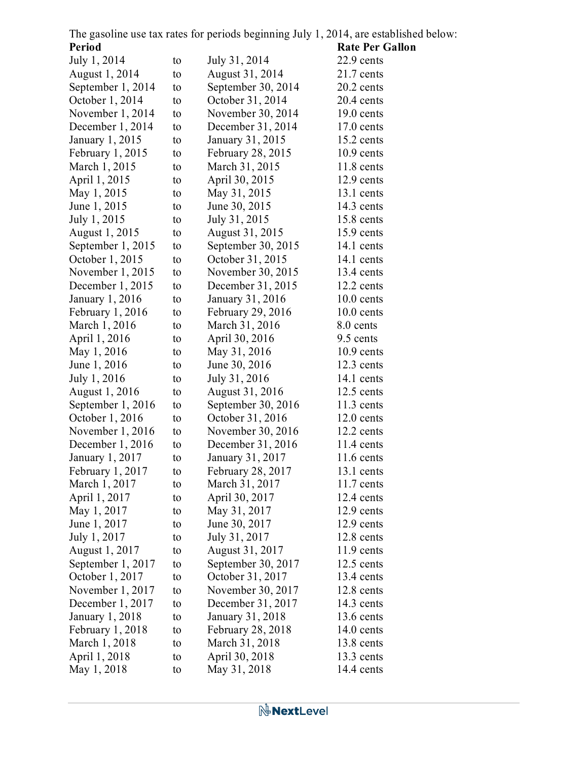|        | The gasoline use tax rates for periods beginning July 1, 2014, are established below: |
|--------|---------------------------------------------------------------------------------------|
| Period | <b>Rate Per Gallon</b>                                                                |

| rerioù            |    |                          | <b>Rate Per Gallo</b> |
|-------------------|----|--------------------------|-----------------------|
| July 1, 2014      | to | July 31, 2014            | $22.9$ cents          |
| August 1, 2014    | to | August 31, 2014          | $21.7$ cents          |
| September 1, 2014 | to | September 30, 2014       | $20.2$ cents          |
| October 1, 2014   | to | October 31, 2014         | $20.4$ cents          |
| November 1, 2014  | to | November 30, 2014        | $19.0$ cents          |
| December 1, 2014  | to | December 31, 2014        | $17.0$ cents          |
| January 1, 2015   | to | January 31, 2015         | $15.2$ cents          |
| February $1,2015$ | to | <b>February 28, 2015</b> | $10.9$ cents          |
| March 1, 2015     | to | March 31, 2015           | $11.8$ cents          |
| April 1, 2015     | to | April 30, 2015           | $12.9$ cents          |
| May 1, 2015       | to | May 31, 2015             | 13.1 cents            |
| June 1, 2015      | to | June 30, 2015            | $14.3$ cents          |
| July 1, 2015      | to | July 31, 2015            | $15.8$ cents          |
| August 1, 2015    | to | August 31, 2015          | 15.9 cents            |
| September 1, 2015 | to | September 30, 2015       | 14.1 cents            |
| October 1, 2015   | to | October 31, 2015         | 14.1 cents            |
| November $1,2015$ | to | November 30, 2015        | $13.4$ cents          |
| December 1, 2015  | to | December 31, 2015        | 12.2 cents            |
| January 1, 2016   | to | January 31, 2016         | $10.0$ cents          |
| February $1,2016$ | to | February 29, 2016        | $10.0$ cents          |
| March 1, 2016     | to | March 31, 2016           | 8.0 cents             |
| April 1, 2016     | to | April 30, 2016           | 9.5 cents             |
| May 1, 2016       | to | May 31, 2016             | $10.9$ cents          |
| June 1, 2016      | to | June 30, 2016            | $12.3$ cents          |
| July 1, 2016      | to | July 31, 2016            | 14.1 cents            |
| August 1, 2016    | to | August 31, 2016          | $12.5$ cents          |
| September 1, 2016 | to | September 30, 2016       | $11.3$ cents          |
| October 1, 2016   | to | October 31, 2016         | $12.0$ cents          |
| November 1, 2016  | to | November 30, 2016        | $12.2$ cents          |
| December $1,2016$ | to | December 31, 2016        | $11.4$ cents          |
| January 1, 2017   | to | January 31, 2017         | $11.6$ cents          |
| February 1, 2017  | to | February 28, 2017        | $13.1$ cents          |
| March 1, 2017     | to | March 31, 2017           | $11.7$ cents          |
| April 1, 2017     | to | April 30, 2017           | 12.4 cents            |
| May 1, 2017       | to | May 31, 2017             | $12.9$ cents          |
| June 1, 2017      | to | June 30, 2017            | $12.9$ cents          |
| July 1, 2017      | to | July 31, 2017            | $12.8$ cents          |
| August 1, 2017    | to | August 31, 2017          | $11.9$ cents          |
| September 1, 2017 | to | September 30, 2017       | $12.5$ cents          |
| October 1, 2017   | to | October 31, 2017         | $13.4$ cents          |
| November 1, 2017  | to | November 30, 2017        | $12.8$ cents          |
| December 1, 2017  | to | December 31, 2017        | $14.3$ cents          |
| January 1, 2018   | to | January 31, 2018         | $13.6$ cents          |
| February 1, 2018  | to | <b>February 28, 2018</b> | $14.0$ cents          |
| March 1, 2018     | to | March 31, 2018           | 13.8 cents            |
| April 1, 2018     | to | April 30, 2018           | $13.3$ cents          |
| May 1, 2018       | to | May 31, 2018             | 14.4 cents            |
|                   |    |                          |                       |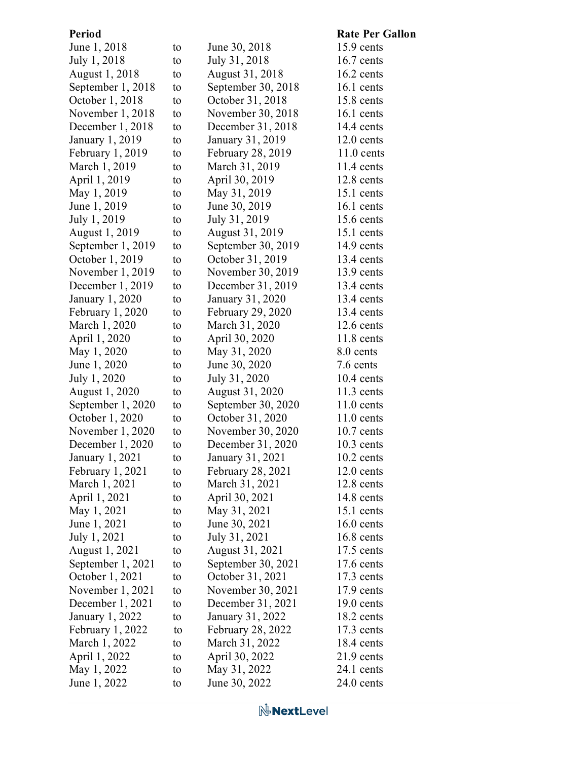| <b>Period</b>     |    |                          | <b>Rate Per Gallon</b> |
|-------------------|----|--------------------------|------------------------|
| June 1, 2018      | to | June 30, 2018            | 15.9 cents             |
| July 1, 2018      | to | July 31, 2018            | $16.7$ cents           |
| August 1, 2018    | to | August 31, 2018          | $16.2$ cents           |
| September 1, 2018 | to | September 30, 2018       | $16.1$ cents           |
| October 1, 2018   | to | October 31, 2018         | 15.8 cents             |
| November 1, 2018  | to | November 30, 2018        | $16.1$ cents           |
| December 1, 2018  | to | December 31, 2018        | 14.4 cents             |
| January 1, 2019   | to | January 31, 2019         | $12.0$ cents           |
| February $1,2019$ | to | <b>February 28, 2019</b> | $11.0$ cents           |
| March 1, 2019     | to | March 31, 2019           | $11.4$ cents           |
| April 1, 2019     | to | April 30, 2019           | 12.8 cents             |
| May 1, 2019       | to | May 31, 2019             | 15.1 cents             |
| June 1, 2019      | to | June 30, 2019            | $16.1$ cents           |
| July 1, 2019      | to | July 31, 2019            | $15.6$ cents           |
| August 1, 2019    | to | August 31, 2019          | 15.1 cents             |
| September 1, 2019 | to | September 30, 2019       | $14.9$ cents           |
| October 1, 2019   | to | October 31, 2019         | $13.4$ cents           |
| November 1, 2019  | to | November 30, 2019        | 13.9 cents             |
| December 1, 2019  | to | December 31, 2019        | 13.4 cents             |
| January 1, 2020   | to | January 31, 2020         | 13.4 cents             |
| February $1,2020$ | to | February 29, 2020        | $13.4$ cents           |
| March 1, 2020     | to | March 31, 2020           | $12.6$ cents           |
| April 1, 2020     | to | April 30, 2020           | $11.8$ cents           |
| May 1, 2020       | to | May 31, 2020             | 8.0 cents              |
| June 1, 2020      | to | June 30, 2020            | 7.6 cents              |
| July 1, 2020      | to | July 31, 2020            | $10.4$ cents           |
| August 1, 2020    | to | August 31, 2020          | $11.3$ cents           |
| September 1, 2020 | to | September 30, 2020       | $11.0$ cents           |
| October 1, 2020   | to | October 31, 2020         | $11.0$ cents           |
| November $1,2020$ | to | November 30, 2020        | $10.7$ cents           |
| December 1, 2020  | to | December 31, 2020        | $10.3$ cents           |
| January 1, 2021   | to | January 31, 2021         | $10.2$ cents           |
| February 1, 2021  | to | February 28, 2021        | $12.0$ cents           |
| March 1, 2021     | to | March 31, 2021           | $12.8$ cents           |
| April 1, 2021     | to | April 30, 2021           | 14.8 cents             |
| May 1, 2021       | to | May 31, 2021             | $15.1$ cents           |
| June 1, 2021      | to | June 30, 2021            | $16.0$ cents           |
| July 1, 2021      | to | July 31, 2021            | $16.8$ cents           |
| August 1, 2021    | to | August 31, 2021          | $17.5$ cents           |
| September 1, 2021 | to | September 30, 2021       | $17.6$ cents           |
| October 1, 2021   | to | October 31, 2021         | $17.3$ cents           |
| November $1,2021$ | to | November 30, 2021        | $17.9$ cents           |
| December 1, 2021  | to | December 31, 2021        | $19.0$ cents           |
| January 1, 2022   | to | January 31, 2022         | $18.2$ cents           |
| February $1,2022$ | to | <b>February 28, 2022</b> | $17.3$ cents           |
| March 1, 2022     | to | March 31, 2022           | $18.4$ cents           |
| April 1, 2022     | to | April 30, 2022           | $21.9$ cents           |
| May 1, 2022       | to | May 31, 2022             | 24.1 cents             |
| June 1, 2022      | to | June 30, 2022            | $24.0$ cents           |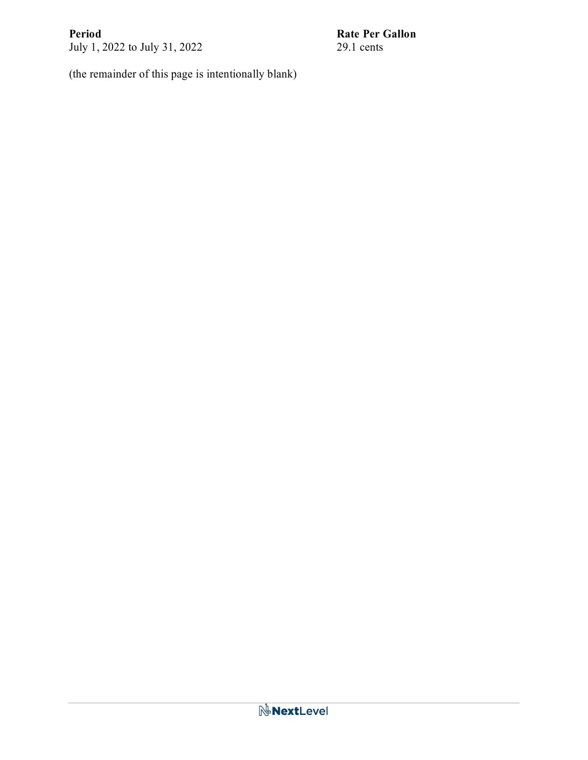July 1, 2022 to July 31, 2022

**Period**<br>
July 1, 2022 to July 31, 2022<br>
29.1 cents

(the remainder of this page is intentionally blank)